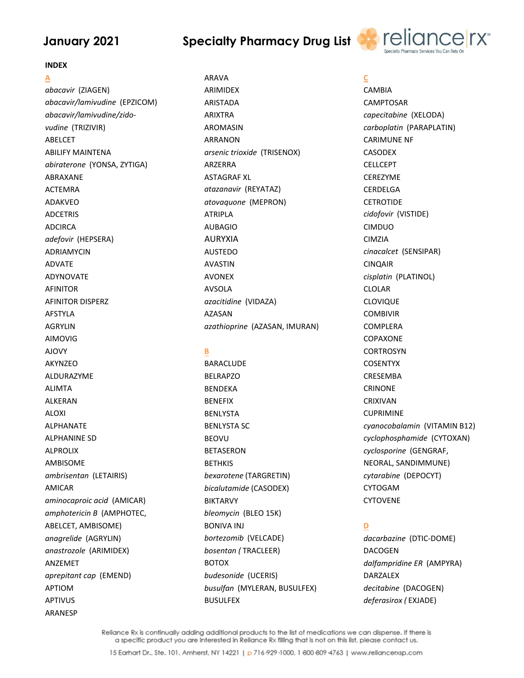## **Specialty Pharmacy Drug List**



#### **INDEX**

Α abacavir (ZIAGEN) abacavir/lamivudine (EPZICOM) abacavir/lamivudine/zidovudine (TRIZIVIR) **ABELCET ABILIFY MAINTENA** abiraterone (YONSA, ZYTIGA) ABRAXANE **ACTEMRA ADAKVFO ADCETRIS ADCIRCA** adefovir (HEPSERA) **ADRIAMYCIN ADVATE** ΑΠΥΝΟΝΑΤΕ **AFINITOR AFINITOR DISPERZ AFSTYLA AGRYLIN AIMOVIG AJOVY AKYNZEO ALDURAZYMF ALIMTA ALKERAN ALOXI ALPHANATE ALPHANINE SD** AI PROLIX **AMBISOME** ambrisentan (LETAIRIS) **AMICAR** aminocaproic acid (AMICAR) amphotericin B (AMPHOTEC, ABELCET, AMBISOME) anagrelide (AGRYLIN) anastrozole (ARIMIDEX) ANZEMET aprepitant cap (EMEND) **APTIOM APTIVUS ARANESP** 

**ARAVA ARIMIDEX ARISTADA ARIXTRA AROMASIN ARRANON** arsenic trioxide (TRISENOX) **ARZERRA ASTAGRAF XI** atazanavir (REYATAZ) atovaquone (MEPRON) **ATRIPLA AUBAGIO AURYXIA AUSTEDO AVASTIN AVONEX AVSOLA** azacitidine (VIDAZA) **AZASAN** azathioprine (AZASAN, IMURAN)

#### B

**BARACLUDE BELRAPZO BENDEKA BENFFIX BENLYSTA BENLYSTA SC BEOVU BETASERON BETHKIS** bexarotene (TARGRETIN) bicalutamide (CASODEX) **BIKTARVY** bleomycin (BLEO 15K) **BONIVA INJ** bortezomib (VELCADE) bosentan (TRACLEER) **BOTOX** budesonide (UCERIS) busulfan (MYLERAN, BUSULFEX) **BUSULFEX** 

## C

**CAMBIA CAMPTOSAR** capecitabine (XELODA) carboplatin (PARAPLATIN) **CARIMUNE NF CASODEX CELLCEPT CEREZYME** CERDELGA **CFTROTIDE** cidofovir (VISTIDE) **CIMDUO CIMZIA** cinacalcet (SENSIPAR) **CINQAIR** cisplatin (PLATINOL) **CLOLAR CLOVIQUE COMBIVIR COMPLERA** COPAXONE **CORTROSYN COSENTYX CRESEMBA CRINONE CRIXIVAN CUPRIMINE** cyanocobalamin (VITAMIN B12) cyclophosphamide (CYTOXAN) cyclosporine (GENGRAF, NEORAL, SANDIMMUNE) cytarabine (DEPOCYT) CYTOGAM **CYTOVENE** 

## D

dacarbazine (DTIC-DOME) **DACOGEN** dalfampridine ER (AMPYRA) DARZALEX decitabine (DACOGEN) deferasirox (EXJADE)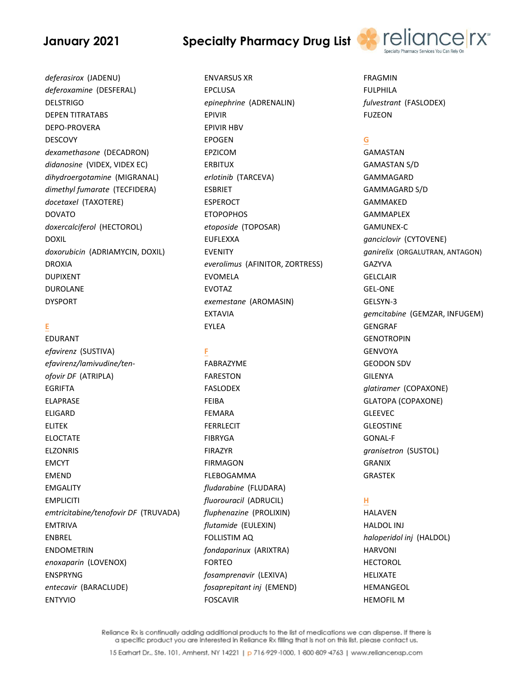## deferasirox (JADENU) deferoxamine (DESFERAL) **DELSTRIGO DEPEN TITRATABS DEPO-PROVERA DESCOVY** dexamethasone (DECADRON) didanosine (VIDEX, VIDEX EC) dihydroergotamine (MIGRANAL) dimethyl fumarate (TECFIDERA) docetaxel (TAXOTERE) **DOVATO** doxercalciferol (HECTOROL) **DOXIL** doxorubicin (ADRIAMYCIN, DOXIL) **DROXIA DUPIXENT DUROLANE DYSPORT**

#### E

EDURANT efavirenz (SUSTIVA) efavirenz/lamivudine/tenofovir DF (ATRIPLA) **EGRIFTA ELAPRASE ELIGARD ELITEK ELOCTATE FIZONRIS EMCYT FMFND EMGALITY EMPLICITI** emtricitabine/tenofovir DF (TRUVADA) **EMTRIVA ENBREL ENDOMETRIN** enoxaparin (LOVENOX) **ENSPRYNG** entecavir (BARACLUDE) **ENTYVIO** 

# **Specialty Pharmacy Drug List**

**ENVARSUS XR EPCLUSA** epinephrine (ADRENALIN) **EPIVIR EPIVIR HBV EPOGEN** EPZICOM **ERBITUX** erlotinib (TARCEVA) **ESBRIET FSPEROCT ETOPOPHOS** etoposide (TOPOSAR) **EUFLEXXA EVENITY** everolimus (AFINITOR, ZORTRESS) **EVOMELA EVOTAZ** exemestane (AROMASIN) **EXTAVIA EYLEA** 

#### F

FABRAZYME **FARESTON FASLODEX FFIRA FEMARA FERRLECIT FIBRYGA FIRAZYR FIRMAGON FLEBOGAMMA** fludarabine (FLUDARA) fluorouracil (ADRUCIL) fluphenazine (PROLIXIN) flutamide (EULEXIN) **FOLLISTIM AQ** fondaparinux (ARIXTRA) **FORTEO** fosamprenavir (LEXIVA) fosaprepitant inj (EMEND) **FOSCAVIR** 



**FRAGMIN FULPHILA** fulvestrant (FASLODEX) **FUZEON** 

## G

**GAMASTAN GAMASTAN S/D GAMMAGARD GAMMAGARD S/D GAMMAKED GAMMAPLEX GAMUNEX-C** ganciclovir (CYTOVENE) ganirelix (ORGALUTRAN, ANTAGON) **GAZYVA GELCLAIR GEL-ONE** GELSYN-3 gemcitabine (GEMZAR, INFUGEM) **GENGRAF GENOTROPIN GENVOYA GEODON SDV GILENYA** glatiramer (COPAXONE) **GLATOPA (COPAXONE) GLEEVEC GLEOSTINE GONAL-F** granisetron (SUSTOL) **GRANIX GRASTEK** 

## H.

**HALAVEN HALDOL INJ** haloperidol inj (HALDOL) **HARVONI HECTOROL HELIXATE HEMANGEOL HEMOFIL M**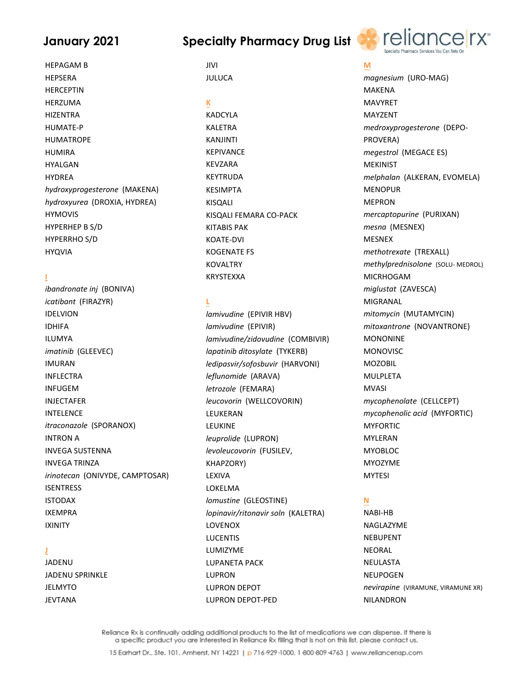**HEPAGAM B** 

**Specialty Pharmacy Drug List** 



**HEPSERA HERCEPTIN HFR7UMA HIZENTRA HUMATE-P HUMATROPE HUMIRA HYALGAN HYDREA** hydroxyprogesterone (MAKENA) hydroxyurea (DROXIA, HYDREA) **HYMOVIS** HYPERHEP B S/D **HYPERRHO S/D HYQVIA** 

### Ï

ibandronate inj (BONIVA) icatibant (FIRAZYR) **IDELVION IDHIFA ILUMYA** imatinib (GLEEVEC) **IMURAN INFLECTRA INFUGEM INJECTAFER INTELENCE** itraconazole (SPORANOX) **INTRON A INVEGA SUSTENNA INVEGA TRINZA** irinotecan (ONIVYDE, CAMPTOSAR) **ISENTRESS ISTODAX IXEMPRA IXINITY** 

#### Ï

**JADENU JADENU SPRINKLE JELMYTO JEVTANA** 

#### **JIVI JULUCA**

K **KADCYLA KALETRA KANJINTI KEPIVANCE KEVZARA KEYTRUDA KESIMPTA KISQALI** KISOALI FEMARA CO-PACK **KITABIS PAK KOATE-DVI KOGENATE FS KOVALTRY KRYSTFXXA** 

## L

lamivudine (EPIVIR HBV) lamivudine (EPIVIR) lamivudine/zidovudine (COMBIVIR) lapatinib ditosylate (TYKERB) ledipasvir/sofosbuvir (HARVONI) leflunomide (ARAVA) letrozole (FEMARA) leucovorin (WELLCOVORIN) LEUKERAN **LEUKINE** leuprolide (LUPRON) levoleucovorin (FUSILEV, **KHAPZORY)** LEXIVA LOKELMA Iomustine (GLEOSTINE) lopinavir/ritonavir soln (KALETRA) LOVENOX **LUCENTIS I UMIZYME LUPANETA PACK LUPRON LUPRON DEPOT LUPRON DEPOT-PED** 

#### M

magnesium (URO-MAG) **MAKENA MAVYRFT** MAYZENT medroxyprogesterone (DEPO-PROVERA) megestrol (MEGACE ES) **MEKINIST** melphalan (ALKERAN, EVOMELA) **MENOPUR MFPRON** mercaptopurine (PURIXAN) mesna (MESNEX) **MESNEX** methotrexate (TREXALL) methylprednisolone (SOLU-MEDROL) **MICRHOGAM** miglustat (ZAVESCA) **MIGRANAL** mitomycin (MUTAMYCIN) mitoxantrone (NOVANTRONE) **MONONINE MONOVISC MOZOBIL** MULPLFTA **MVASI** mycophenolate (CELLCEPT) mycophenolic acid (MYFORTIC) **MYFORTIC MYLERAN** MYOBLOC. **MYOZYME MYTESI** N NABI-HB NAGLAZYME

**NEBUPENT NFORAL NEULASTA NEUPOGEN** nevirapine (VIRAMUNE, VIRAMUNE XR) **NILANDRON**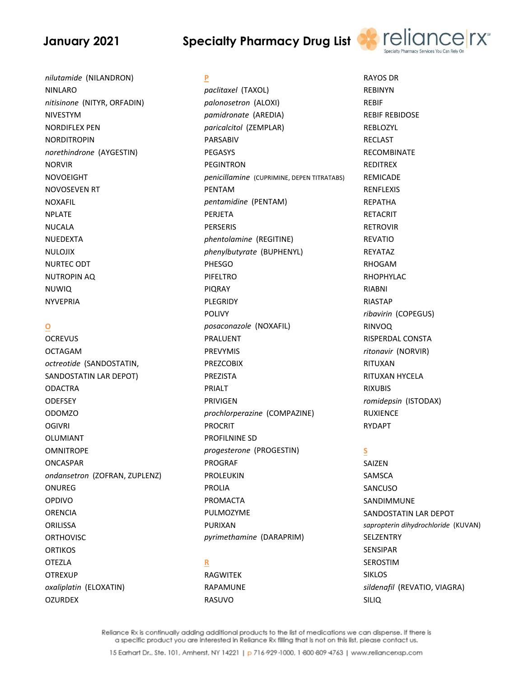# **Specialty Pharmacy Drug List**

P



nilutamide (NILANDRON) **NINLARO** nitisinone (NITYR, ORFADIN) NIVESTYM **NORDIFLEX PEN NORDITROPIN** norethindrone (AYGESTIN) **NORVIR NOVOFIGHT NOVOSEVEN RT NOXAFIL NPLATE NUCALA NUEDEXTA NULOJIX NURTEC ODT NUTROPIN AO NUWIQ NYVEPRIA** 

#### $\mathbf{o}$

**OCREVUS OCTAGAM** octreotide (SANDOSTATIN, SANDOSTATIN LAR DEPOT) **ODACTRA ODEFSEY ODOMZO OGIVRI OLUMIANT OMNITROPF ONCASPAR** ondansetron (ZOFRAN, ZUPLENZ) **ONUREG** OPDIVO **ORENCIA ORILISSA ORTHOVISC ORTIKOS OTEZLA OTREXUP** oxaliplatin (ELOXATIN) **OZURDEX** 

## paclitaxel (TAXOL) palonosetron (ALOXI) pamidronate (AREDIA) paricalcitol (ZEMPLAR) **PARSABIV PEGASYS PEGINTRON** penicillamine (CUPRIMINE, DEPEN TITRATABS) PENTAM pentamidine (PENTAM) PERJETA **PERSERIS** phentolamine (REGITINE) phenylbutyrate (BUPHENYL) PHESGO PIFFITRO **PIORAY** PLEGRIDY **POLIVY** posaconazole (NOXAFIL) **PRALUENT PREVYMIS PREZCOBIX PREZISTA** PRIALT **PRIVIGEN** prochlorperazine (COMPAZINE) **PROCRIT PROFILNINE SD** progesterone (PROGESTIN)

**PROGRAF PROLEUKIN PROLIA** PROMACTA PULMOZYME **PURIXAN** 

pyrimethamine (DARAPRIM)

### R

**RAGWITEK RAPAMUNE** RASUVO

**RAYOS DR REBINYN RFRIF REBIF REBIDOSE** REBLOZYL **RECLAST RECOMBINATE REDITREX REMICADE RENFLEXIS RFPATHA RETACRIT RETROVIR REVATIO** REYATAZ **RHOGAM RHOPHYLAC RIABNI RIASTAP** ribavirin (COPEGUS) **RINVOQ** RISPERDAL CONSTA ritonavir (NORVIR) RITUXAN RITUXAN HYCELA **RIXUBIS** romidepsin (ISTODAX) **RUXIENCE RYDAPT** 

## S

**SAIZEN** SAMSCA SANCUSO SANDIMMUNE SANDOSTATIN LAR DEPOT sapropterin dihydrochloride (KUVAN) SELZENTRY **SENSIPAR SEROSTIM SIKLOS** sildenafil (REVATIO, VIAGRA) **SILIQ**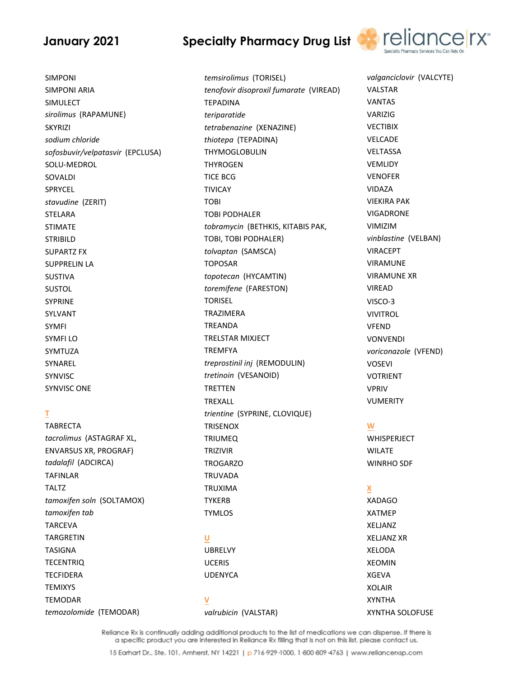# **Specialty Pharmacy Drug List**



valganciclovir (VALCYTE)

**SIMPONI SIMPONI ARIA SIMULECT** sirolimus (RAPAMUNE) **SKYRIZI** sodium chloride sofosbuvir/velpatasvir (EPCLUSA) SOLU-MEDROL SOVALDI SPRYCEL stavudine (ZERIT) **STELARA STIMATE STRIBILD SUPARTZ FX SUPPRELIN LA SUSTIVA SUSTOL SYPRINE** SYLVANT **SYMFI SYMFILO SYMTUZA** SYNAREL **SYNVISC SYNVISC ONE** 

## T

**TABRECTA** tacrolimus (ASTAGRAF XL, **ENVARSUS XR, PROGRAF)** tadalafil (ADCIRCA) **TAFINLAR TALTZ** tamoxifen soln (SOLTAMOX) tamoxifen tab **TARCEVA TARGRETIN TASIGNA TECENTRIQ TECFIDERA TEMIXYS TEMODAR** temozolomide (TEMODAR)

temsirolimus (TORISEL) tenofovir disoproxil fumarate (VIREAD) **TEPADINA** teriparatide tetrabenazine (XENAZINE) thiotepa (TEPADINA) **THYMOGLOBULIN THYROGEN TICF BCG TIVICAY TOBI TOBI PODHALER** tobramycin (BETHKIS, KITABIS PAK, TOBI, TOBI PODHALER) tolvaptan (SAMSCA) **TOPOSAR** topotecan (HYCAMTIN) toremifene (FARESTON) **TORISEL TRAZIMFRA TREANDA TRELSTAR MIXJECT TREMFYA** treprostinil inj (REMODULIN) tretinoin (VESANOID) **TRETTEN** TREXALL trientine (SYPRINE, CLOVIQUE) **TRISENOX TRIUMEQ** TRIZIVIR **TROGARZO TRUVADA TRUXIMA TYKFRB TYMLOS** U **UBRELVY UCERIS UDENYCA** V

valrubicin (VALSTAR)

**VALSTAR VANTAS** VARIZIG **VECTIBIX VFLCADE** VELTASSA **VEMLIDY VENOFER** VIDAZA **VIEKIRA PAK VIGADRONE VIMIZIM** vinblastine (VELBAN) **VIRACEPT VIRAMUNE VIRAMUNE XR VIREAD** VISCO-3 **VIVITROL VFEND VONVENDI** voriconazole (VFEND) **VOSEVI** VOTRIENT **VPRIV VUMERITY** 

#### W

**WHISPERJECT WILATE WINRHO SDF** 

#### X

**XADAGO XATMEP XELJANZ XELJANZ XR XFLODA XEOMIN XGFVA XOLAIR XYNTHA** XYNTHA SOLOFUSE